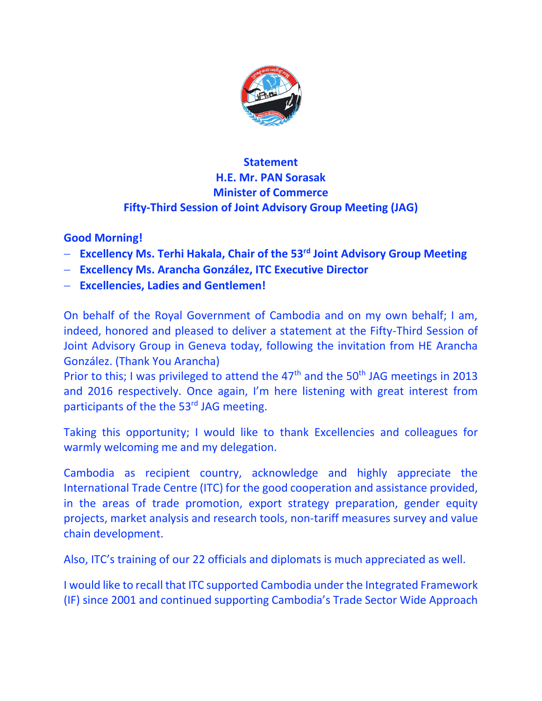

## **Statement H.E. Mr. PAN Sorasak Minister of Commerce Fifty-Third Session of Joint Advisory Group Meeting (JAG)**

**Good Morning!**

- **Excellency Ms. Terhi Hakala, Chair of the 53rd Joint Advisory Group Meeting**
- **Excellency Ms. Arancha González, ITC Executive Director**
- **Excellencies, Ladies and Gentlemen!**

On behalf of the Royal Government of Cambodia and on my own behalf; I am, indeed, honored and pleased to deliver a statement at the Fifty-Third Session of Joint Advisory Group in Geneva today, following the invitation from HE Arancha González. (Thank You Arancha)

Prior to this; I was privileged to attend the  $47<sup>th</sup>$  and the  $50<sup>th</sup>$  JAG meetings in 2013 and 2016 respectively. Once again, I'm here listening with great interest from participants of the the 53<sup>rd</sup> JAG meeting.

Taking this opportunity; I would like to thank Excellencies and colleagues for warmly welcoming me and my delegation.

Cambodia as recipient country, acknowledge and highly appreciate the International Trade Centre (ITC) for the good cooperation and assistance provided, in the areas of trade promotion, export strategy preparation, gender equity projects, market analysis and research tools, non-tariff measures survey and value chain development.

Also, ITC's training of our 22 officials and diplomats is much appreciated as well.

I would like to recall that ITC supported Cambodia under the Integrated Framework (IF) since 2001 and continued supporting Cambodia's Trade Sector Wide Approach